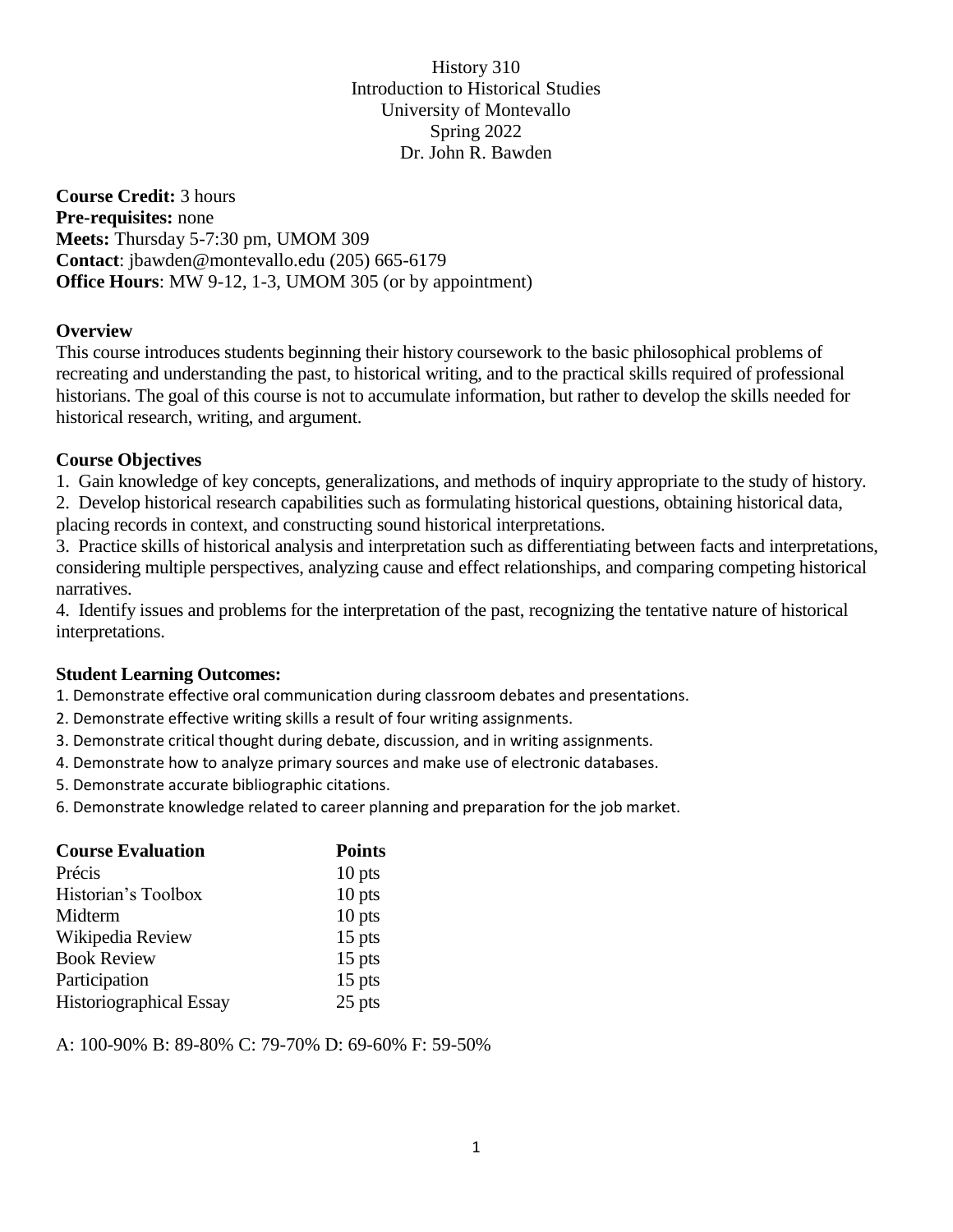History 310 Introduction to Historical Studies University of Montevallo Spring 2022 Dr. John R. Bawden

**Course Credit:** 3 hours **Pre-requisites:** none **Meets:** Thursday 5-7:30 pm, UMOM 309 **Contact**: jbawden@montevallo.edu (205) 665-6179 **Office Hours**: MW 9-12, 1-3, UMOM 305 (or by appointment)

#### **Overview**

This course introduces students beginning their history coursework to the basic philosophical problems of recreating and understanding the past, to historical writing, and to the practical skills required of professional historians. The goal of this course is not to accumulate information, but rather to develop the skills needed for historical research, writing, and argument.

## **Course Objectives**

1. Gain knowledge of key concepts, generalizations, and methods of inquiry appropriate to the study of history.

2. Develop historical research capabilities such as formulating historical questions, obtaining historical data,

placing records in context, and constructing sound historical interpretations.

3. Practice skills of historical analysis and interpretation such as differentiating between facts and interpretations, considering multiple perspectives, analyzing cause and effect relationships, and comparing competing historical narratives.

4. Identify issues and problems for the interpretation of the past, recognizing the tentative nature of historical interpretations.

# **Student Learning Outcomes:**

1. Demonstrate effective oral communication during classroom debates and presentations.

- 2. Demonstrate effective writing skills a result of four writing assignments.
- 3. Demonstrate critical thought during debate, discussion, and in writing assignments.
- 4. Demonstrate how to analyze primary sources and make use of electronic databases.
- 5. Demonstrate accurate bibliographic citations.
- 6. Demonstrate knowledge related to career planning and preparation for the job market.

| <b>Course Evaluation</b> | <b>Points</b> |
|--------------------------|---------------|
| Précis                   | $10$ pts      |
| Historian's Toolbox      | $10$ pts      |
| Midterm                  | $10$ pts      |
| Wikipedia Review         | $15$ pts      |
| <b>Book Review</b>       | 15 pts        |
| Participation            | $15$ pts      |
| Historiographical Essay  | 25 pts        |

A: 100-90% B: 89-80% C: 79-70% D: 69-60% F: 59-50%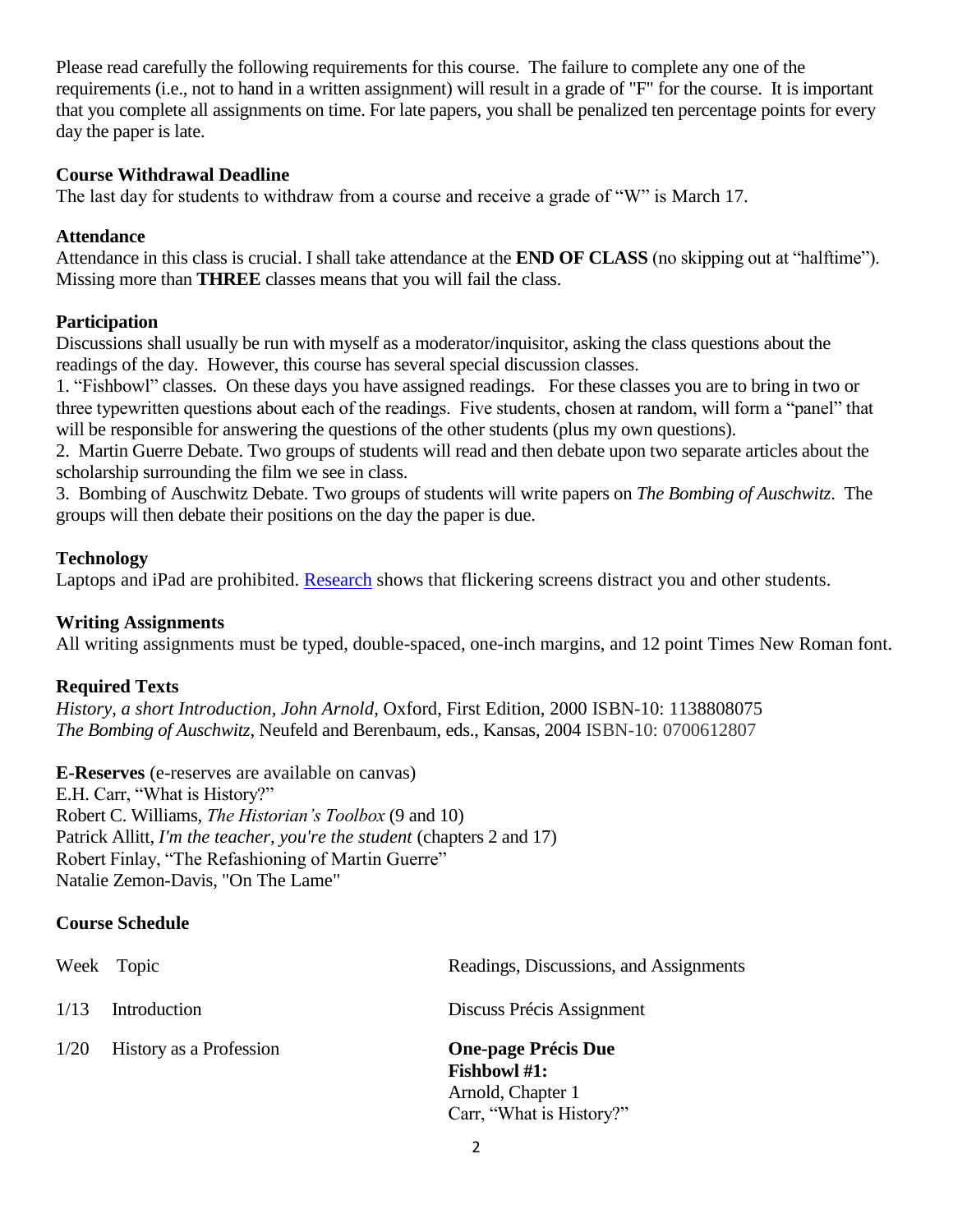Please read carefully the following requirements for this course. The failure to complete any one of the requirements (i.e., not to hand in a written assignment) will result in a grade of "F" for the course. It is important that you complete all assignments on time. For late papers, you shall be penalized ten percentage points for every day the paper is late.

## **Course Withdrawal Deadline**

The last day for students to withdraw from a course and receive a grade of "W" is March 17.

#### **Attendance**

Attendance in this class is crucial. I shall take attendance at the **END OF CLASS** (no skipping out at "halftime"). Missing more than **THREE** classes means that you will fail the class.

## **Participation**

Discussions shall usually be run with myself as a moderator/inquisitor, asking the class questions about the readings of the day. However, this course has several special discussion classes.

1. "Fishbowl" classes. On these days you have assigned readings. For these classes you are to bring in two or three typewritten questions about each of the readings. Five students, chosen at random, will form a "panel" that will be responsible for answering the questions of the other students (plus my own questions).

2. Martin Guerre Debate. Two groups of students will read and then debate upon two separate articles about the scholarship surrounding the film we see in class.

3. Bombing of Auschwitz Debate. Two groups of students will write papers on *The Bombing of Auschwitz*. The groups will then debate their positions on the day the paper is due.

## **Technology**

Laptops and iPad are prohibited. [Research](https://www.insidehighered.com/news/2018/07/27/class-cellphone-and-laptop-use-lowers-exam-scores-new-study-shows) shows that flickering screens distract you and other students.

## **Writing Assignments**

All writing assignments must be typed, double-spaced, one-inch margins, and 12 point Times New Roman font.

# **Required Texts**

*History, a short Introduction, John Arnold,* Oxford, First Edition, 2000 ISBN-10: 1138808075 *The Bombing of Auschwitz*, Neufeld and Berenbaum, eds., Kansas, 2004 ISBN-10: 0700612807

**E-Reserves** (e-reserves are available on canvas) E.H. Carr, "What is History?" Robert C. Williams, *The Historian's Toolbox* (9 and 10) Patrick Allitt, *I'm the teacher, you're the student* (chapters 2 and 17) Robert Finlay, "The Refashioning of Martin Guerre" Natalie Zemon-Davis, "On The Lame"

# **Course Schedule**

|      | Week Topic              | Readings, Discussions, and Assignments                                 |
|------|-------------------------|------------------------------------------------------------------------|
| 1/13 | Introduction            | Discuss Précis Assignment                                              |
| 1/20 | History as a Profession | <b>One-page Précis Due</b><br><b>Fishbowl #1:</b><br>Arnold, Chapter 1 |

Carr, "What is History?"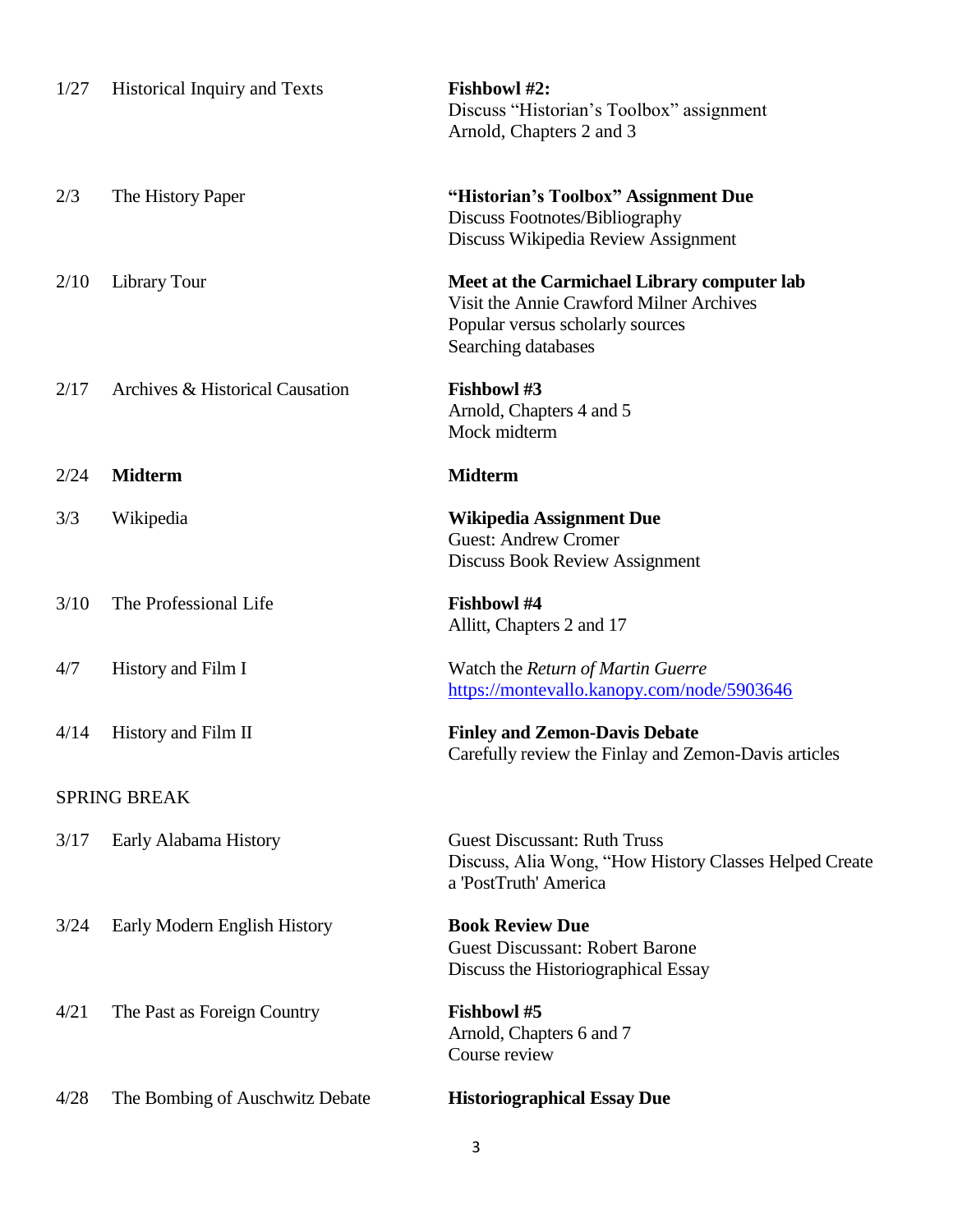| 1/27                | <b>Historical Inquiry and Texts</b> | Fishbowl #2:<br>Discuss "Historian's Toolbox" assignment<br>Arnold, Chapters 2 and 3                                                               |  |
|---------------------|-------------------------------------|----------------------------------------------------------------------------------------------------------------------------------------------------|--|
| 2/3                 | The History Paper                   | "Historian's Toolbox" Assignment Due<br>Discuss Footnotes/Bibliography<br>Discuss Wikipedia Review Assignment                                      |  |
| 2/10                | Library Tour                        | Meet at the Carmichael Library computer lab<br>Visit the Annie Crawford Milner Archives<br>Popular versus scholarly sources<br>Searching databases |  |
| 2/17                | Archives & Historical Causation     | <b>Fishbowl#3</b><br>Arnold, Chapters 4 and 5<br>Mock midterm                                                                                      |  |
| 2/24                | <b>Midterm</b>                      | <b>Midterm</b>                                                                                                                                     |  |
| 3/3                 | Wikipedia                           | <b>Wikipedia Assignment Due</b><br><b>Guest: Andrew Cromer</b><br>Discuss Book Review Assignment                                                   |  |
| 3/10                | The Professional Life               | <b>Fishbowl#4</b><br>Allitt, Chapters 2 and 17                                                                                                     |  |
| 4/7                 | History and Film I                  | Watch the Return of Martin Guerre<br>https://montevallo.kanopy.com/node/5903646                                                                    |  |
| 4/14                | History and Film II                 | <b>Finley and Zemon-Davis Debate</b><br>Carefully review the Finlay and Zemon-Davis articles                                                       |  |
| <b>SPRING BREAK</b> |                                     |                                                                                                                                                    |  |
| 3/17                | Early Alabama History               | <b>Guest Discussant: Ruth Truss</b><br>Discuss, Alia Wong, "How History Classes Helped Create<br>a 'PostTruth' America                             |  |
| 3/24                | Early Modern English History        | <b>Book Review Due</b><br><b>Guest Discussant: Robert Barone</b><br>Discuss the Historiographical Essay                                            |  |
| 4/21                | The Past as Foreign Country         | Fishbowl #5<br>Arnold, Chapters 6 and 7<br>Course review                                                                                           |  |
| 4/28                | The Bombing of Auschwitz Debate     | <b>Historiographical Essay Due</b>                                                                                                                 |  |

3